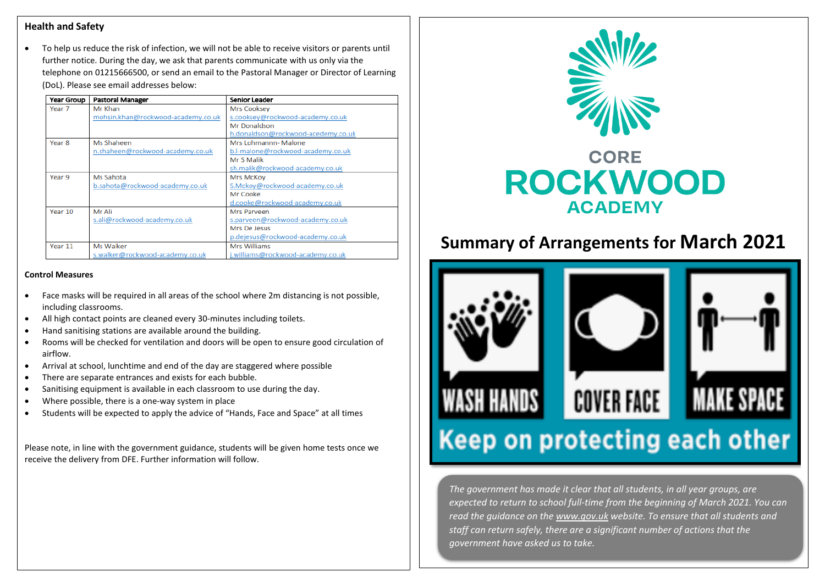#### **Health and Safety**

 To help us reduce the risk of infection, we will not be able to receive visitors or parents until further notice. During the day, we ask that parents communicate with us only via the telephone on 01215666500, or send an email to the Pastoral Manager or Director of Learning (DoL). Please see email addresses below:

| Year Group        | <b>Pastoral Manager</b>            | Senior Leader                      |
|-------------------|------------------------------------|------------------------------------|
| Year <sub>7</sub> | Mr Khan                            | Mrs Cooksey                        |
|                   | mohsin.khan@rockwood-academy.co.uk | s.cooksey@rockwood-academy.co.uk   |
|                   |                                    | Mr Donaldson                       |
|                   |                                    | h.donaldson@rockwood-acedemy.co.uk |
| Year <sub>8</sub> | Ms Shaheen                         | Mrs Lohmannn- Malone               |
|                   | n.shaheen@rockwood-academy.co.uk   | b.l-malone@rockwood-academy.co.uk  |
|                   |                                    | Mr S Malik                         |
|                   |                                    | sh.malik@rockwood-academy.co.uk    |
| Year <sub>9</sub> | Ms Sahota                          | Mrs McKov                          |
|                   | b.sahota@rockwood-academy.co.uk    | S.Mckoy@rockwood-academy.co.uk     |
|                   |                                    | Mr Cooke                           |
|                   |                                    | d.cooke@rockwood-academy.co.uk     |
| Year 10           | Mr Ali                             | Mrs Parveen                        |
|                   | s.ali@rockwood-academy.co.uk       | s.parveen@rockwood-academy.co.uk   |
|                   |                                    | Mrs De Jesus                       |
|                   |                                    | p.dejesus@rockwood-academy.co.uk   |
| Year 11           | Ms Walker                          | Mrs Williams                       |
|                   | s.walker@rockwood-academy.co.uk    | williams@rockwood-academy.co.uk.   |

#### **Control Measures**

- Face masks will be required in all areas of the school where 2m distancing is not possible, including classrooms.
- All high contact points are cleaned every 30-minutes including toilets.
- Hand sanitising stations are available around the building.
- Rooms will be checked for ventilation and doors will be open to ensure good circulation of airflow.
- Arrival at school, lunchtime and end of the day are staggered where possible
- There are separate entrances and exists for each bubble.
- Sanitising equipment is available in each classroom to use during the day.
- Where possible, there is a one-way system in place
- Students will be expected to apply the advice of "Hands, Face and Space" at all times

Please note, in line with the government guidance, students will be given home tests once we receive the delivery from DFE. Further information will follow.



# **Summary of Arrangements for March 2021**



*The government has made it clear that all students, in all year groups, are expected to return to school full-time from the beginning of March 2021. You can read the guidance on the [www.gov.uk](http://www.gov.uk/) website. To ensure that all students and staff can return safely, there are a significant number of actions that the government have asked us to take.*